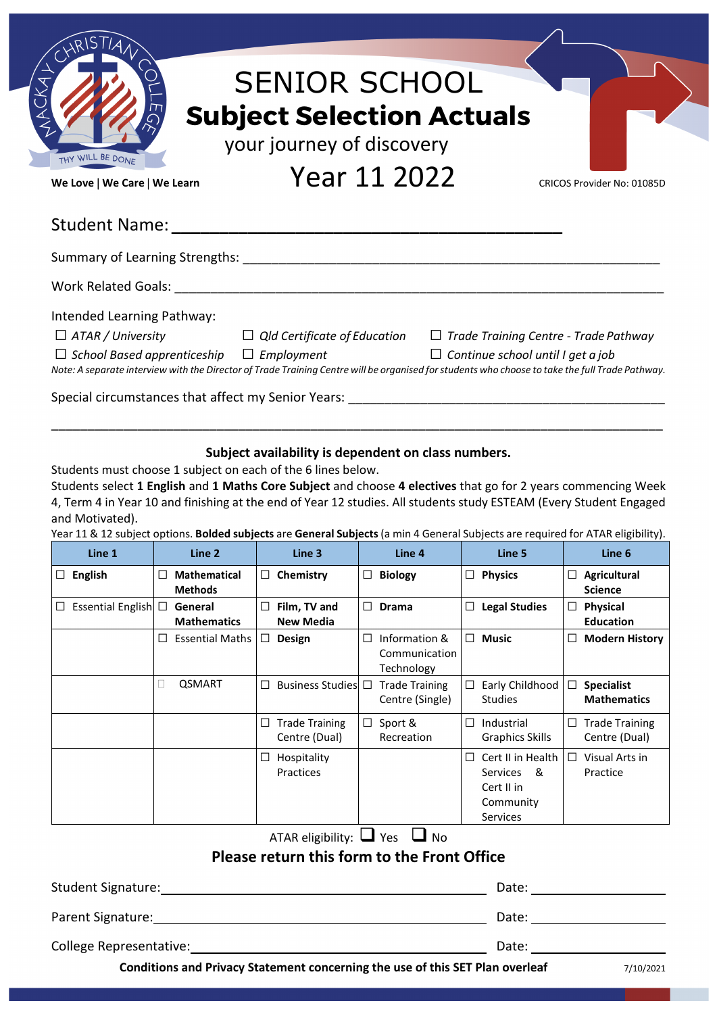| THY WILL BE DONE<br>We Love   We Care   We Learn | <b>SENIOR SCHOOL</b><br><b>Subject Selection Actuals</b><br>your journey of discovery<br>Year 11 2022 | CRICOS Provider No: 01085D                   |
|--------------------------------------------------|-------------------------------------------------------------------------------------------------------|----------------------------------------------|
|                                                  |                                                                                                       |                                              |
|                                                  |                                                                                                       |                                              |
|                                                  |                                                                                                       |                                              |
|                                                  |                                                                                                       |                                              |
| Intended Learning Pathway:                       |                                                                                                       |                                              |
| $\Box$ ATAR / University                         | $\Box$ Qld Certificate of Education                                                                   | $\Box$ Trade Training Centre - Trade Pathway |

### **Subject availability is dependent on class numbers.**

\_\_\_\_\_\_\_\_\_\_\_\_\_\_\_\_\_\_\_\_\_\_\_\_\_\_\_\_\_\_\_\_\_\_\_\_\_\_\_\_\_\_\_\_\_\_\_\_\_\_\_\_\_\_\_\_\_\_\_\_\_\_\_\_\_\_\_\_\_\_\_\_\_\_\_\_\_\_\_\_\_\_\_\_\_

Students must choose 1 subject on each of the 6 lines below.

Students select **1 English** and **1 Maths Core Subject** and choose **4 electives** that go for 2 years commencing Week 4, Term 4 in Year 10 and finishing at the end of Year 12 studies. All students study ESTEAM (Every Student Engaged and Motivated).

Year 11 & 12 subject options. **Bolded subjects** are **General Subjects** (a min 4 General Subjects are required for ATAR eligibility).

| Line 1                                      |        | Line 2                                |        | Line 3                                 |        | Line 4                                       |   | Line 5                                                                                    |        | Line 6                                  |
|---------------------------------------------|--------|---------------------------------------|--------|----------------------------------------|--------|----------------------------------------------|---|-------------------------------------------------------------------------------------------|--------|-----------------------------------------|
| <b>English</b><br>$\Box$                    | $\Box$ | <b>Mathematical</b><br><b>Methods</b> | $\Box$ | Chemistry                              | $\Box$ | <b>Biology</b>                               |   | $\Box$ Physics                                                                            | $\Box$ | Agricultural<br><b>Science</b>          |
| Essential English □<br>ப                    |        | General<br><b>Mathematics</b>         | $\Box$ | Film, TV and<br><b>New Media</b>       | □      | <b>Drama</b>                                 |   | $\Box$ Legal Studies                                                                      | $\Box$ | Physical<br><b>Education</b>            |
|                                             |        | <b>Essential Maths</b>                |        | $\Box$ Design                          | □      | Information &<br>Communication<br>Technology |   | $\Box$ Music                                                                              | ш      | <b>Modern History</b>                   |
|                                             | Ш      | <b>QSMART</b>                         | □      | Business Studies $\square$             |        | <b>Trade Training</b><br>Centre (Single)     |   | $\Box$ Early Childhood<br><b>Studies</b>                                                  | □      | <b>Specialist</b><br><b>Mathematics</b> |
|                                             |        |                                       | □      | <b>Trade Training</b><br>Centre (Dual) | $\Box$ | Sport &<br>Recreation                        | □ | Industrial<br><b>Graphics Skills</b>                                                      | Ш      | <b>Trade Training</b><br>Centre (Dual)  |
|                                             |        |                                       | $\Box$ | Hospitality<br>Practices               |        |                                              | □ | Cert II in Health<br><b>Services</b><br>- &<br>Cert II in<br>Community<br><b>Services</b> | $\Box$ | Visual Arts in<br>Practice              |
| ATAR eligibility: $\Box$ Yes $\Box$ No      |        |                                       |        |                                        |        |                                              |   |                                                                                           |        |                                         |
| Please return this form to the Front Office |        |                                       |        |                                        |        |                                              |   |                                                                                           |        |                                         |
| Student Signature:<br>Date:                 |        |                                       |        |                                        |        |                                              |   |                                                                                           |        |                                         |
| Parent Signature:<br>Date:                  |        |                                       |        |                                        |        |                                              |   |                                                                                           |        |                                         |
| College Representative:<br>Date:            |        |                                       |        |                                        |        |                                              |   |                                                                                           |        |                                         |

**Conditions and Privacy Statement concerning the use of this SET Plan overleaf** 7/10/2021